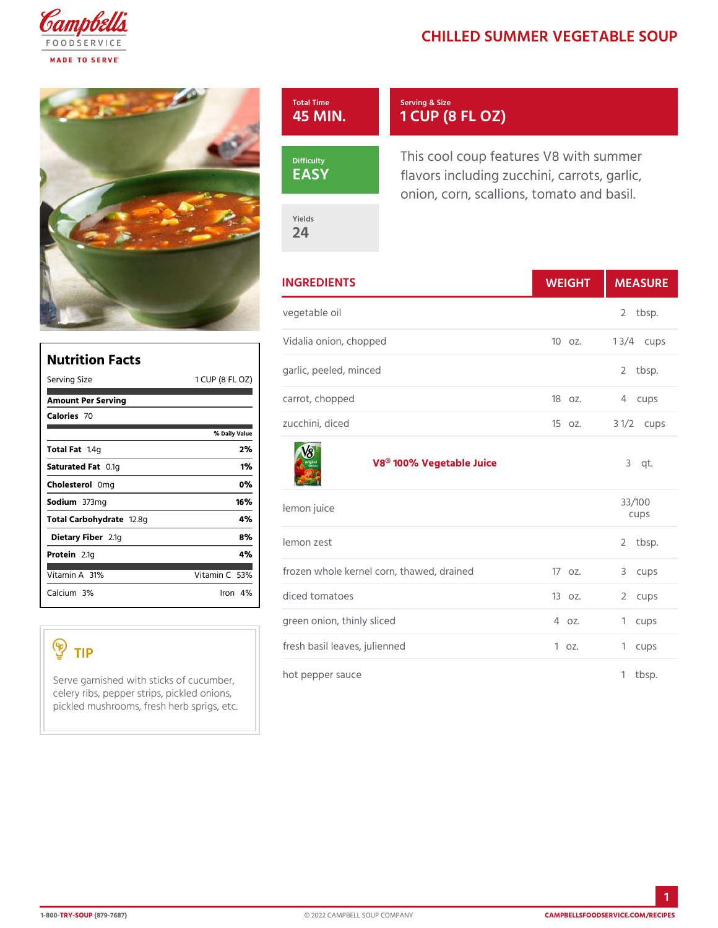## CHILLED SUMMER VEGET/

| Total Time   | Serving & Size                   |
|--------------|----------------------------------|
| 45 MIN.      | 1 CUP (8 FL OZ)                  |
| Difficulty   | This cool coup features V8 with  |
| $E$ A $S$ Y  | flavors including zucchini, carr |
| Yields<br>24 | onion, corn, scallions, tomato a |

|                                                    | <b>INGREDIENTS</b>                   | WEIGH MEASU                    |
|----------------------------------------------------|--------------------------------------|--------------------------------|
|                                                    | vegetable oil                        | 2 tbsp.                        |
|                                                    | Vidalia onion, chopped               | 10 oz.<br>1 $3/4c$ ups         |
| <b>Nutrition Facts</b><br>1 CUP (8<br>Serving Size | garlic, peeled, minced<br>F L.<br>OZ | 2 tbsp.                        |
| Amount Per Serving                                 | carrot, chopped                      | 180z.<br>4 cups                |
| Calorie <sup>7</sup> s0                            | zucchini, diced<br>% Daily Vallue    | $3 \frac{1}{2}$ cups<br>15 oz. |

[V8® 100% Veget](https://www.campbellsfoodservice.com/product/original-100-vegetable-juice)able Juice  $3$  qt.

| lemon juice                                |               | 33/100<br>cups |
|--------------------------------------------|---------------|----------------|
| lemon zest                                 |               | $2$ tbsp.      |
| frozen whole kernel corn, thawed, dnaviord |               | 3 cups         |
| diced tomatoes                             | 13 oz. 2 cups |                |
| green onion, thinly sliced                 | 4 oz.         | 1 cups         |
| fresh basil leaves, julienned              | $1 \circ z$ . | 1 cups         |
| hot pepper sauce                           |               | $1$ tbsp.      |

Total Fat4g 2% Saturated CF. altg. the contract of the state of the state of the state of the state of the state of the state o Choleste Of only contact the Office of the Office of the Office of the Office of the Office of the Office of the Office of the Office of the Office of the Office of the Office of the Office of the Office of the Office of t Sodium 373mg 16% Total Carbohy d2 a 8 g<br>4 % Dietary F2ib1eg 2.1gs 2.1gs 2.1gs 2.1gs 2.1gs 2.1gs 2.1gs 2.1gs 2.1gs 2.1gs 2.1gs 2.1gs 2.1gs 2.1gs 2.1gs 2.1g Protei 2.1g 4% Vitamin 3A % Vitamin 5G % Calcium 3n% Iron 4 %

Serve garnished with sticks of cucumber, sauce celery ribs, pepper strips, pickled onions, pickled mushrooms, fresh herb sprigs, etc.